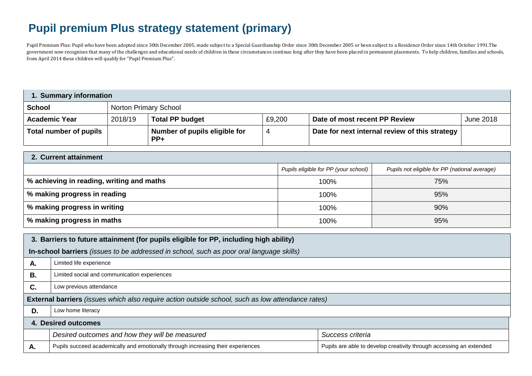## **Pupil premium Plus strategy statement (primary)**

Pupil Premium Plus: Pupil who have been adopted since 30th December 2005, made subject to a Special Guardianship Order since 30th December 2005 or been subject to a Residence Order since 14th October 1991.The government now recognises that many of the challenges and educational needs of children in these circumstances continue long after they have been placed in permanent placements. To help children, families and schools, from April 2014 these children will qualify for "Pupil Premium Plus".

| 1. Summary information |         |                                        |        |                                                |                  |  |
|------------------------|---------|----------------------------------------|--------|------------------------------------------------|------------------|--|
| <b>School</b>          |         | <b>Norton Primary School</b>           |        |                                                |                  |  |
| <b>Academic Year</b>   | 2018/19 | <b>Total PP budget</b>                 | £9,200 | Date of most recent PP Review                  | <b>June 2018</b> |  |
| Total number of pupils |         | Number of pupils eligible for<br>$PP+$ |        | Date for next internal review of this strategy |                  |  |

| 2. Current attainment                     |                                      |                                               |  |  |  |
|-------------------------------------------|--------------------------------------|-----------------------------------------------|--|--|--|
|                                           | Pupils eligible for PP (your school) | Pupils not eligible for PP (national average) |  |  |  |
| % achieving in reading, writing and maths | 100%                                 | 75%                                           |  |  |  |
| % making progress in reading              | 100%                                 | 95%                                           |  |  |  |
| % making progress in writing              | 100%                                 | 90%                                           |  |  |  |
| % making progress in maths                | 100%                                 | 95%                                           |  |  |  |

| 3. Barriers to future attainment (for pupils eligible for PP, including high ability) |                                                                                                          |                                                                     |  |  |  |
|---------------------------------------------------------------------------------------|----------------------------------------------------------------------------------------------------------|---------------------------------------------------------------------|--|--|--|
|                                                                                       | In-school barriers (issues to be addressed in school, such as poor oral language skills)                 |                                                                     |  |  |  |
| Α.                                                                                    | Limited life experience                                                                                  |                                                                     |  |  |  |
| В.                                                                                    | Limited social and communication experiences                                                             |                                                                     |  |  |  |
| C.                                                                                    | Low previous attendance                                                                                  |                                                                     |  |  |  |
|                                                                                       | <b>External barriers</b> (issues which also require action outside school, such as low attendance rates) |                                                                     |  |  |  |
| D.                                                                                    | Low home literacy                                                                                        |                                                                     |  |  |  |
| 4. Desired outcomes                                                                   |                                                                                                          |                                                                     |  |  |  |
|                                                                                       | Desired outcomes and how they will be measured                                                           | Success criteria                                                    |  |  |  |
| А.                                                                                    | Pupils succeed academically and emotionally through increasing their experiences                         | Pupils are able to develop creativity through accessing an extended |  |  |  |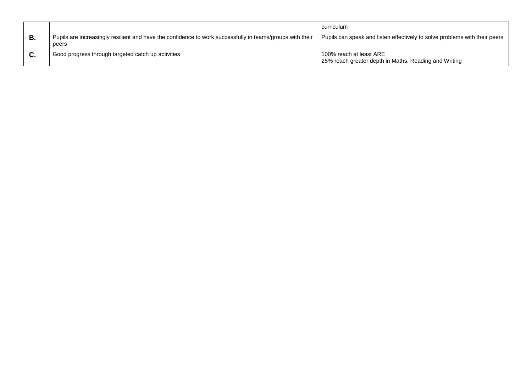|    |                                                                                                                    | curriculum                                                                       |
|----|--------------------------------------------------------------------------------------------------------------------|----------------------------------------------------------------------------------|
|    | Pupils are increasingly resilient and have the confidence to work successfully in teams/groups with their<br>peers | Pupils can speak and listen effectively to solve problems with their peers       |
| v. | Good progress through targeted catch up activities                                                                 | 100% reach at least ARE<br>25% reach greater depth in Maths, Reading and Writing |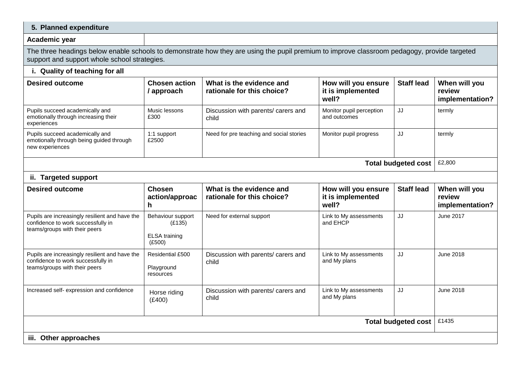| 5. Planned expenditure                                                                                                                                                                      |                                                               |                                                        |                                                   |                   |                                            |
|---------------------------------------------------------------------------------------------------------------------------------------------------------------------------------------------|---------------------------------------------------------------|--------------------------------------------------------|---------------------------------------------------|-------------------|--------------------------------------------|
| Academic year                                                                                                                                                                               |                                                               |                                                        |                                                   |                   |                                            |
| The three headings below enable schools to demonstrate how they are using the pupil premium to improve classroom pedagogy, provide targeted<br>support and support whole school strategies. |                                                               |                                                        |                                                   |                   |                                            |
| i. Quality of teaching for all                                                                                                                                                              |                                                               |                                                        |                                                   |                   |                                            |
| <b>Desired outcome</b>                                                                                                                                                                      | <b>Chosen action</b><br>/ approach                            | What is the evidence and<br>rationale for this choice? | How will you ensure<br>it is implemented<br>well? | <b>Staff lead</b> | When will you<br>review<br>implementation? |
| Pupils succeed academically and<br>emotionally through increasing their<br>experiences                                                                                                      | Music lessons<br>£300                                         | Discussion with parents/ carers and<br>child           | Monitor pupil perception<br>and outcomes          | JJ                | termly                                     |
| Pupils succeed academically and<br>emotionally through being guided through<br>new experiences                                                                                              | 1:1 support<br>£2500                                          | Need for pre teaching and social stories               | Monitor pupil progress                            | JJ                | termly                                     |
| <b>Total budgeted cost</b>                                                                                                                                                                  |                                                               |                                                        |                                                   |                   | £2,800                                     |
| ii. Targeted support                                                                                                                                                                        |                                                               |                                                        |                                                   |                   |                                            |
| <b>Desired outcome</b>                                                                                                                                                                      | <b>Chosen</b><br>action/approac<br>h.                         | What is the evidence and<br>rationale for this choice? | How will you ensure<br>it is implemented<br>well? | <b>Staff lead</b> | When will you<br>review<br>implementation? |
| Pupils are increasingly resilient and have the<br>confidence to work successfully in<br>teams/groups with their peers                                                                       | Behaviour support<br>(E135)<br><b>ELSA</b> training<br>(E500) | Need for external support                              | Link to My assessments<br>and EHCP                | JJ                | June 2017                                  |
| Pupils are increasingly resilient and have the<br>confidence to work successfully in<br>teams/groups with their peers                                                                       | Residential £500<br>Playground<br>resources                   | Discussion with parents/ carers and<br>child           | Link to My assessments<br>and My plans            | JJ                | June 2018                                  |
| Increased self- expression and confidence                                                                                                                                                   | Horse riding<br>(E400)                                        | Discussion with parents/ carers and<br>child           | Link to My assessments<br>and My plans            | JJ                | June 2018                                  |
| Total budgeted cost                                                                                                                                                                         |                                                               |                                                        |                                                   | £1435             |                                            |
| iii. Other approaches                                                                                                                                                                       |                                                               |                                                        |                                                   |                   |                                            |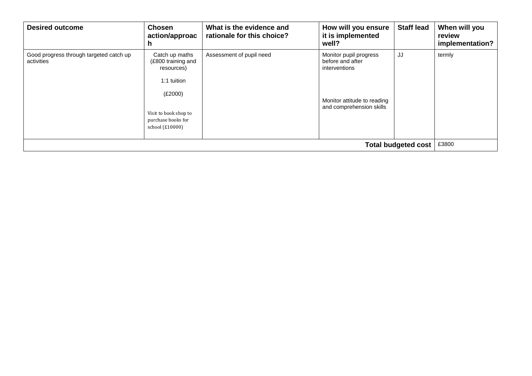| <b>Desired outcome</b>                                | <b>Chosen</b><br>action/approac<br>h.                                                                                                          | What is the evidence and<br>rationale for this choice? | How will you ensure<br>it is implemented<br>well?                                                                      | <b>Staff lead</b> | When will you<br>review<br>implementation? |
|-------------------------------------------------------|------------------------------------------------------------------------------------------------------------------------------------------------|--------------------------------------------------------|------------------------------------------------------------------------------------------------------------------------|-------------------|--------------------------------------------|
| Good progress through targeted catch up<br>activities | Catch up maths<br>(£800 training and<br>resources)<br>1:1 tuition<br>(E2000)<br>Visit to book shop to<br>purchase books for<br>school (£10000) | Assessment of pupil need                               | Monitor pupil progress<br>before and after<br>interventions<br>Monitor attitude to reading<br>and comprehension skills | JJ                | termly                                     |
| Total budgeted cost                                   |                                                                                                                                                |                                                        |                                                                                                                        |                   | £3800                                      |